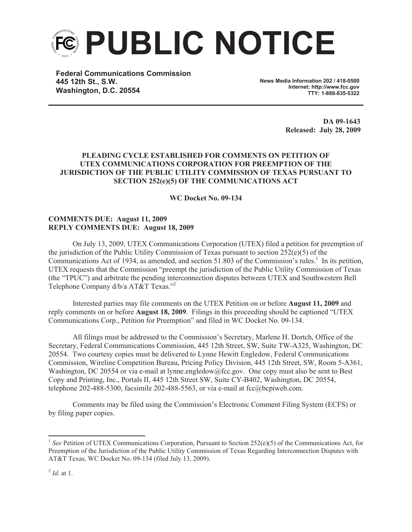

**Federal Communications Commission 445 12th St., S.W. Washington, D.C. 20554**

**News Media Information 202 / 418-0500 Internet: http://www.fcc.gov TTY: 1-888-835-5322**

> **DA 09-1643 Released: July 28, 2009**

## **PLEADING CYCLE ESTABLISHED FOR COMMENTS ON PETITION OF UTEX COMMUNICATIONS CORPORATION FOR PREEMPTION OF THE JURISDICTION OF THE PUBLIC UTILITY COMMISSION OF TEXAS PURSUANT TO SECTION 252(e)(5) OF THE COMMUNICATIONS ACT**

**WC Docket No. 09-134**

## **COMMENTS DUE: August 11, 2009 REPLY COMMENTS DUE: August 18, 2009**

On July 13, 2009, UTEX Communications Corporation (UTEX) filed a petition for preemption of the jurisdiction of the Public Utility Commission of Texas pursuant to section  $252(e)(5)$  of the Communications Act of 1934, as amended, and section 51.803 of the Commission's rules.<sup>1</sup> In its petition, UTEX requests that the Commission "preempt the jurisdiction of the Public Utility Commission of Texas (the "TPUC") and arbitrate the pending interconnection disputes between UTEX and Southwestern Bell Telephone Company d/b/a AT&T Texas."<sup>2</sup>

Interested parties may file comments on the UTEX Petition on or before **August 11, 2009** and reply comments on or before **August 18, 2009**. Filings in this proceeding should be captioned "UTEX Communications Corp., Petition for Preemption" and filed in WC Docket No. 09-134.

All filings must be addressed to the Commission's Secretary, Marlene H. Dortch, Office of the Secretary, Federal Communications Commission, 445 12th Street, SW, Suite TW-A325, Washington, DC 20554. Two courtesy copies must be delivered to Lynne Hewitt Engledow, Federal Communications Commission, Wireline Competition Bureau, Pricing Policy Division, 445 12th Street, SW, Room 5-A361, Washington, DC 20554 or via e-mail at lynne.engledow@fcc.gov. One copy must also be sent to Best Copy and Printing, Inc., Portals II, 445 12th Street SW, Suite CY-B402, Washington, DC 20554, telephone 202-488-5300, facsimile 202-488-5563, or via e-mail at  $fcc@bcpiweb.com$ .

Comments may be filed using the Commission's Electronic Comment Filing System (ECFS) or by filing paper copies.

<sup>&</sup>lt;sup>1</sup> See Petition of UTEX Communications Corporation, Pursuant to Section 252(e)(5) of the Communications Act, for Preemption of the Jurisdiction of the Public Utility Commission of Texas Regarding Interconnection Disputes with AT&T Texas, WC Docket No. 09-134 (filed July 13, 2009).

<sup>2</sup> *Id*. at 1.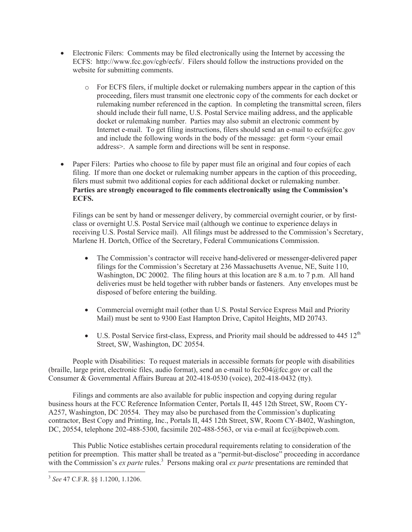- Electronic Filers: Comments may be filed electronically using the Internet by accessing the ECFS: http://www.fcc.gov/cgb/ecfs/. Filers should follow the instructions provided on the website for submitting comments.
	- o For ECFS filers, if multiple docket or rulemaking numbers appear in the caption of this proceeding, filers must transmit one electronic copy of the comments for each docket or rulemaking number referenced in the caption. In completing the transmittal screen, filers should include their full name, U.S. Postal Service mailing address, and the applicable docket or rulemaking number. Parties may also submit an electronic comment by Internet e-mail. To get filing instructions, filers should send an e-mail to ecfs@fcc.gov and include the following words in the body of the message: get form <your email address>. A sample form and directions will be sent in response.
- Paper Filers: Parties who choose to file by paper must file an original and four copies of each filing. If more than one docket or rulemaking number appears in the caption of this proceeding, filers must submit two additional copies for each additional docket or rulemaking number. **Parties are strongly encouraged to file comments electronically using the Commission's ECFS.**

Filings can be sent by hand or messenger delivery, by commercial overnight courier, or by firstclass or overnight U.S. Postal Service mail (although we continue to experience delays in receiving U.S. Postal Service mail). All filings must be addressed to the Commission's Secretary, Marlene H. Dortch, Office of the Secretary, Federal Communications Commission.

- The Commission's contractor will receive hand-delivered or messenger-delivered paper filings for the Commission's Secretary at 236 Massachusetts Avenue, NE, Suite 110, Washington, DC 20002. The filing hours at this location are 8 a.m. to 7 p.m. All hand deliveries must be held together with rubber bands or fasteners. Any envelopes must be disposed of before entering the building.
- Commercial overnight mail (other than U.S. Postal Service Express Mail and Priority Mail) must be sent to 9300 East Hampton Drive, Capitol Heights, MD 20743.
- U.S. Postal Service first-class, Express, and Priority mail should be addressed to  $445 \frac{12^{th}}{125}$ Street, SW, Washington, DC 20554.

People with Disabilities: To request materials in accessible formats for people with disabilities (braille, large print, electronic files, audio format), send an e-mail to  $fcc504@$ fcc.gov or call the Consumer & Governmental Affairs Bureau at 202-418-0530 (voice), 202-418-0432 (tty).

Filings and comments are also available for public inspection and copying during regular business hours at the FCC Reference Information Center, Portals II, 445 12th Street, SW, Room CY-A257, Washington, DC 20554. They may also be purchased from the Commission's duplicating contractor, Best Copy and Printing, Inc., Portals II, 445 12th Street, SW, Room CY-B402, Washington, DC, 20554, telephone 202-488-5300, facsimile 202-488-5563, or via e-mail at fcc@bcpiweb.com.

This Public Notice establishes certain procedural requirements relating to consideration of the petition for preemption. This matter shall be treated as a "permit-but-disclose" proceeding in accordance with the Commission's *ex parte* rules.<sup>3</sup> Persons making oral *ex parte* presentations are reminded that

<sup>3</sup> *See* 47 C.F.R. §§ 1.1200, 1.1206.